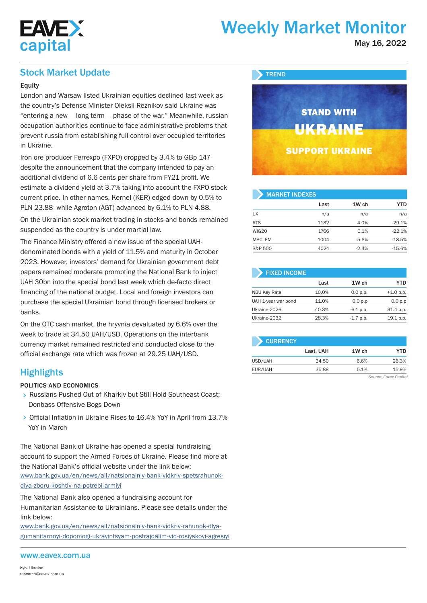

# Weekly Market Monitor

May 16, 2022

## Stock Market Update

## **Equity**

London and Warsaw listed Ukrainian equities declined last week as the country's Defense Minister Oleksii Reznikov said Ukraine was "entering a new — long-term — phase of the war." Meanwhile, russian occupation authorities continue to face administrative problems that prevent russia from establishing full control over occupied territories in Ukraine.

Iron ore producer Ferrexpo (FXPO) dropped by 3.4% to GBp 147 despite the announcement that the company intended to pay an additional dividend of 6.6 cents per share from FY21 profit. We estimate a dividend yield at 3.7% taking into account the FXPO stock current price. In other names, Kernel (KER) edged down by 0.5% to PLN 23.88 while Agroton (AGT) advanced by 6.1% to PLN 4.88.

On the Ukrainian stock market trading in stocks and bonds remained suspended as the country is under martial law.

The Finance Ministry offered a new issue of the special UAHdenominated bonds with a yield of 11.5% and maturity in October 2023. However, investors' demand for Ukrainian government debt papers remained moderate prompting the National Bank to inject UAH 30bn into the special bond last week which de-facto direct financing of the national budget. Local and foreign investors can purchase the special Ukrainian bond through licensed brokers or banks.

On the OTC cash market, the hryvnia devaluated by 6.6% over the week to trade at 34.50 UAH/USD. Operations on the interbank currency market remained restricted and conducted close to the official exchange rate which was frozen at 29.25 UAH/USD.

## **Highlights**

### POLITICS AND ECONOMICS

- Russians Pushed Out of Kharkiv but Still Hold Southeast Coast; Donbass Offensive Bogs Down
- > Official Inflation in Ukraine Rises to 16.4% YoY in April from 13.7% YoY in March

The National Bank of Ukraine has opened a special fundraising account to support the Armed Forces of Ukraine. Please find more at the National Bank's official website under the link below: www.bank.gov.ua/en/news/all/natsionalniy-bank-vidkriv-spetsrahunokdlya-zboru-koshtiv-na-potrebi-armiyi

The National Bank also opened a fundraising account for Humanitarian Assistance to Ukrainians. Please see details under the link below:

www.bank.gov.ua/en/news/all/natsionalniy-bank-vidkriv-rahunok-dlyagumanitarnoyi-dopomogi-ukrayintsyam-postrajdalim-vid-rosiyskoyi-agresiyi

### www.eavex.com.ua



| <b>MARKET INDEXES</b> |      |         |            |  |  |  |  |  |  |
|-----------------------|------|---------|------------|--|--|--|--|--|--|
|                       | Last | 1W ch   | <b>YTD</b> |  |  |  |  |  |  |
| <b>UX</b>             | n/a  | n/a     | n/a        |  |  |  |  |  |  |
| <b>RTS</b>            | 1132 | 4.0%    | $-29.1%$   |  |  |  |  |  |  |
| WIG20                 | 1766 | 0.1%    | $-22.1%$   |  |  |  |  |  |  |
| <b>MSCI EM</b>        | 1004 | $-5.6%$ | $-18.5%$   |  |  |  |  |  |  |
| S&P 500               | 4024 | $-2.4%$ | $-15.6%$   |  |  |  |  |  |  |

| <b>FIXED INCOME</b> |       |             |             |
|---------------------|-------|-------------|-------------|
|                     | Last  | 1W ch       | YTD         |
| <b>NBU Key Rate</b> | 10.0% | 0.0 p.p.    | $+1.0 p.p.$ |
| UAH 1-year war bond | 11.0% | 0.0 p.p     | 0.0 p.p     |
| Ukraine-2026        | 40.3% | $-6.1$ p.p. | 31.4 p.p.   |
| Ukraine-2032        | 28.3% | $-1.7$ p.p. | 19.1 p.p.   |



*Source: Eavex Capital*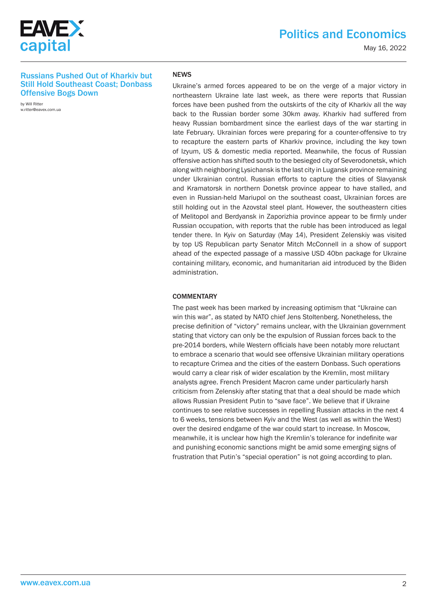

May 16, 2022

## Russians Pushed Out of Kharkiv but Still Hold Southeast Coast; Donbass Offensive Bogs Down

by Will Ritter w.ritter@eavex.com.ua

## NEWS

Ukraine's armed forces appeared to be on the verge of a major victory in northeastern Ukraine late last week, as there were reports that Russian forces have been pushed from the outskirts of the city of Kharkiv all the way back to the Russian border some 30km away. Kharkiv had suffered from heavy Russian bombardment since the earliest days of the war starting in late February. Ukrainian forces were preparing for a counter-offensive to try to recapture the eastern parts of Kharkiv province, including the key town of Izyum, US & domestic media reported. Meanwhile, the focus of Russian offensive action has shifted south to the besieged city of Severodonetsk, which along with neighboring Lysichansk is the last city in Lugansk province remaining under Ukrainian control. Russian efforts to capture the cities of Slavyansk and Kramatorsk in northern Donetsk province appear to have stalled, and even in Russian-held Mariupol on the southeast coast, Ukrainian forces are still holding out in the Azovstal steel plant. However, the southeastern cities of Melitopol and Berdyansk in Zaporizhia province appear to be firmly under Russian occupation, with reports that the ruble has been introduced as legal tender there. In Kyiv on Saturday (May 14), President Zelenskiy was visited by top US Republican party Senator Mitch McConnell in a show of support ahead of the expected passage of a massive USD 40bn package for Ukraine containing military, economic, and humanitarian aid introduced by the Biden administration.

#### **COMMENTARY**

The past week has been marked by increasing optimism that "Ukraine can win this war", as stated by NATO chief Jens Stoltenberg. Nonetheless, the precise definition of "victory" remains unclear, with the Ukrainian government stating that victory can only be the expulsion of Russian forces back to the pre-2014 borders, while Western officials have been notably more reluctant to embrace a scenario that would see offensive Ukrainian military operations to recapture Crimea and the cities of the eastern Donbass. Such operations would carry a clear risk of wider escalation by the Kremlin, most military analysts agree. French President Macron came under particularly harsh criticism from Zelenskiy after stating that that a deal should be made which allows Russian President Putin to "save face". We believe that if Ukraine continues to see relative successes in repelling Russian attacks in the next 4 to 6 weeks, tensions between Kyiv and the West (as well as within the West) over the desired endgame of the war could start to increase. In Moscow, meanwhile, it is unclear how high the Kremlin's tolerance for indefinite war and punishing economic sanctions might be amid some emerging signs of frustration that Putin's "special operation" is not going according to plan.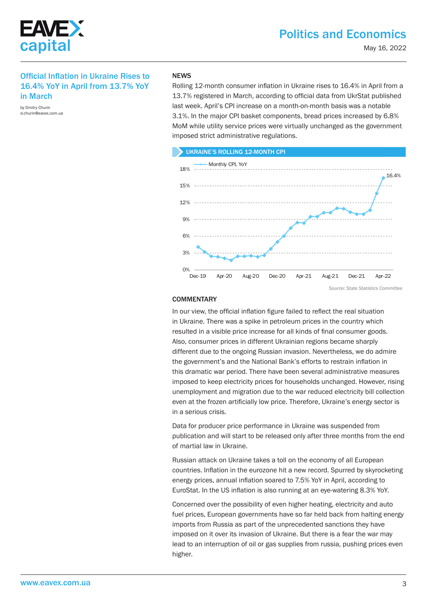

## Official Inflation in Ukraine Rises to 16.4% YoY in April from 13.7% YoY in March

by Dmitry Churin d.churin@eavex.com.ua

#### **NEWS**

Rolling 12-month consumer inflation in Ukraine rises to 16.4% in April from a 13.7% registered in March, according to official data from UkrStat published last week. April's CPI increase on a month-on-month basis was a notable 3.1%. In the major CPI basket components, bread prices increased by 6.8% MoM while utility service prices were virtually unchanged as the government imposed strict administrative regulations.

#### UKRAINE'S ROLLING 12-MONTH CPI



## **COMMENTARY**

In our view, the official inflation figure failed to reflect the real situation in Ukraine. There was a spike in petroleum prices in the country which resulted in a visible price increase for all kinds of final consumer goods. Also, consumer prices in different Ukrainian regions became sharply different due to the ongoing Russian invasion. Nevertheless, we do admire the government's and the National Bank's efforts to restrain inflation in this dramatic war period. There have been several administrative measures imposed to keep electricity prices for households unchanged. However, rising unemployment and migration due to the war reduced electricity bill collection even at the frozen artificially low price. Therefore, Ukraine's energy sector is in a serious crisis.

Data for producer price performance in Ukraine was suspended from publication and will start to be released only after three months from the end of martial law in Ukraine.

Russian attack on Ukraine takes a toll on the economy of all European countries. Inflation in the eurozone hit a new record. Spurred by skyrocketing energy prices, annual inflation soared to 7.5% YoY in April, according to EuroStat. In the US inflation is also running at an eye-watering 8.3% YoY.

Concerned over the possibility of even higher heating, electricity and auto fuel prices, European governments have so far held back from halting energy imports from Russia as part of the unprecedented sanctions they have imposed on it over its invasion of Ukraine. But there is a fear the war may lead to an interruption of oil or gas supplies from russia, pushing prices even higher.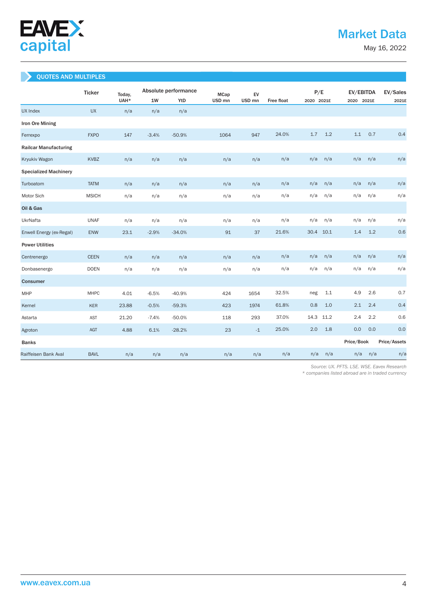

May 16, 2022

## QUOTES AND MULTIPLES

|                              | <b>Ticker</b><br>Today, |       | Absolute performance |          |                   | EV<br><b>MCap</b> |            |            | P/E  |            | EV/EBITDA  |              |  |
|------------------------------|-------------------------|-------|----------------------|----------|-------------------|-------------------|------------|------------|------|------------|------------|--------------|--|
|                              |                         | UAH*  | 1W                   | YtD      | USD <sub>mn</sub> | USD <sub>mn</sub> | Free float | 2020 2021E |      |            | 2020 2021E |              |  |
| <b>UX Index</b>              | <b>UX</b>               | n/a   | n/a                  | n/a      |                   |                   |            |            |      |            |            |              |  |
| Iron Ore Mining              |                         |       |                      |          |                   |                   |            |            |      |            |            |              |  |
| Ferrexpo                     | <b>FXPO</b>             | 147   | $-3.4%$              | $-50.9%$ | 1064              | 947               | 24.0%      | 1.7        | 1.2  | 1.1        | 0.7        | 0.4          |  |
| <b>Railcar Manufacturing</b> |                         |       |                      |          |                   |                   |            |            |      |            |            |              |  |
| Kryukiv Wagon                | <b>KVBZ</b>             | n/a   | n/a                  | n/a      | n/a               | n/a               | n/a        | n/a        | n/a  | n/a        | n/a        | n/a          |  |
| <b>Specialized Machinery</b> |                         |       |                      |          |                   |                   |            |            |      |            |            |              |  |
| Turboatom                    | <b>TATM</b>             | n/a   | n/a                  | n/a      | n/a               | n/a               | n/a        | n/a        | n/a  | n/a        | n/a        | n/a          |  |
| Motor Sich                   | <b>MSICH</b>            | n/a   | n/a                  | n/a      | n/a               | n/a               | n/a        | n/a        | n/a  | n/a        | n/a        | n/a          |  |
| Oil & Gas                    |                         |       |                      |          |                   |                   |            |            |      |            |            |              |  |
| UkrNafta                     | <b>UNAF</b>             | n/a   | n/a                  | n/a      | n/a               | n/a               | n/a        | n/a        | n/a  | n/a        | n/a        | n/a          |  |
| Enwell Energy (ex-Regal)     | ENW                     | 23.1  | $-2.9%$              | $-34.0%$ | 91                | 37                | 21.6%      | 30.4       | 10.1 | 1.4        | 1.2        | 0.6          |  |
| <b>Power Utilities</b>       |                         |       |                      |          |                   |                   |            |            |      |            |            |              |  |
| Centrenergo                  | <b>CEEN</b>             | n/a   | n/a                  | n/a      | n/a               | n/a               | n/a        | n/a        | n/a  | n/a        | n/a        | n/a          |  |
| Donbasenergo                 | <b>DOEN</b>             | n/a   | n/a                  | n/a      | n/a               | n/a               | n/a        | n/a        | n/a  | n/a        | n/a        | n/a          |  |
| Consumer                     |                         |       |                      |          |                   |                   |            |            |      |            |            |              |  |
| MHP                          | <b>MHPC</b>             | 4.01  | $-6.5%$              | $-40.9%$ | 424               | 1654              | 32.5%      | neg        | 1.1  | 4.9        | 2.6        | 0.7          |  |
| Kernel                       | <b>KER</b>              | 23.88 | $-0.5%$              | $-59.3%$ | 423               | 1974              | 61.8%      | 0.8        | 1.0  | 2.1        | 2.4        | 0.4          |  |
| Astarta                      | <b>AST</b>              | 21.20 | $-7.4%$              | $-50.0%$ | 118               | 293               | 37.0%      | 14.3       | 11.2 | 2.4        | 2.2        | 0.6          |  |
| Agroton                      | AGT                     | 4.88  | 6.1%                 | $-28.2%$ | 23                | $-1$              | 25.0%      | 2.0        | 1.8  | 0.0        | 0.0        | 0.0          |  |
| <b>Banks</b>                 |                         |       |                      |          |                   |                   |            |            |      | Price/Book |            | Price/Assets |  |
| Raiffeisen Bank Aval         | <b>BAVL</b>             | n/a   | n/a                  | n/a      | n/a               | n/a               | n/a        | n/a        | n/a  | n/a        | n/a        | n/a          |  |

 *Source: UX. PFTS. LSE. WSE. Eavex Research* 

*\* companies listed abroad are in traded currency*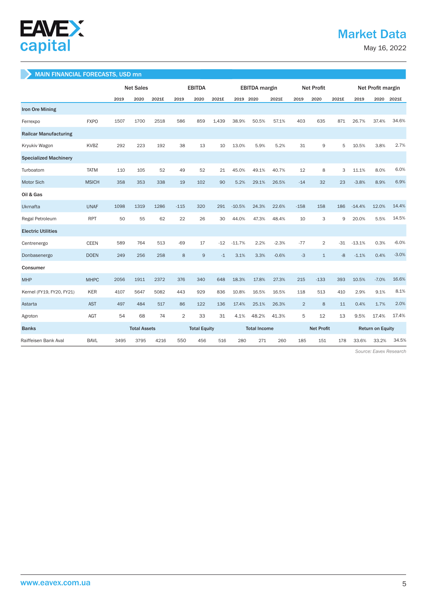

## Market Data

May 16, 2022

## MAIN FINANCIAL FORECASTS, USD mn

|                              |              | <b>Net Sales</b> |                     |       | <b>EBITDA</b>  |                     |       | <b>EBITDA</b> margin |       |                   | <b>Net Profit</b> |              |                         | Net Profit margin |         |         |
|------------------------------|--------------|------------------|---------------------|-------|----------------|---------------------|-------|----------------------|-------|-------------------|-------------------|--------------|-------------------------|-------------------|---------|---------|
|                              |              | 2019             | 2020                | 2021E | 2019           | 2020                | 2021E | 2019 2020            |       | 2021E             | 2019              | 2020         | 2021E                   | 2019              | 2020    | 2021E   |
| <b>Iron Ore Mining</b>       |              |                  |                     |       |                |                     |       |                      |       |                   |                   |              |                         |                   |         |         |
| Ferrexpo                     | <b>FXPO</b>  | 1507             | 1700                | 2518  | 586            | 859                 | 1.439 | 38.9%                | 50.5% | 57.1%             | 403               | 635          | 871                     | 26.7%             | 37.4%   | 34.6%   |
| <b>Railcar Manufacturing</b> |              |                  |                     |       |                |                     |       |                      |       |                   |                   |              |                         |                   |         |         |
| Kryukiv Wagon                | <b>KVBZ</b>  | 292              | 223                 | 192   | 38             | 13                  | 10    | 13.0%                | 5.9%  | 5.2%              | 31                | 9            | 5                       | 10.5%             | 3.8%    | 2.7%    |
| <b>Specialized Machinery</b> |              |                  |                     |       |                |                     |       |                      |       |                   |                   |              |                         |                   |         |         |
| Turboatom                    | <b>TATM</b>  | 110              | 105                 | 52    | 49             | 52                  | 21    | 45.0%                | 49.1% | 40.7%             | 12                | 8            | 3                       | 11.1%             | 8.0%    | 6.0%    |
| <b>Motor Sich</b>            | <b>MSICH</b> | 358              | 353                 | 338   | 19             | 102                 | 90    | 5.2%                 | 29.1% | 26.5%             | $-14$             | 32           | 23                      | $-3.8%$           | 8.9%    | 6.9%    |
| Oil & Gas                    |              |                  |                     |       |                |                     |       |                      |       |                   |                   |              |                         |                   |         |         |
| Ukrnafta                     | <b>UNAF</b>  | 1098             | 1319                | 1286  | $-115$         | 320                 | 291   | $-10.5%$             | 24.3% | 22.6%             | $-158$            | 158          | 186                     | $-14.4%$          | 12.0%   | 14.4%   |
| Regal Petroleum              | <b>RPT</b>   | 50               | 55                  | 62    | 22             | 26                  | 30    | 44.0%                | 47.3% | 48.4%             | 10                | 3            | 9                       | 20.0%             | 5.5%    | 14.5%   |
| <b>Electric Utilities</b>    |              |                  |                     |       |                |                     |       |                      |       |                   |                   |              |                         |                   |         |         |
| Centrenergo                  | <b>CEEN</b>  | 589              | 764                 | 513   | $-69$          | 17                  | $-12$ | $-11.7%$             | 2.2%  | $-2.3%$           | $-77$             | 2            | $-31$                   | $-13.1%$          | 0.3%    | $-6.0%$ |
| Donbasenergo                 | <b>DOEN</b>  | 249              | 256                 | 258   | 8              | 9                   | $-1$  | 3.1%                 | 3.3%  | $-0.6%$           | $-3$              | $\mathbf{1}$ | $-8$                    | $-1.1%$           | 0.4%    | $-3.0%$ |
| Consumer                     |              |                  |                     |       |                |                     |       |                      |       |                   |                   |              |                         |                   |         |         |
| <b>MHP</b>                   | <b>MHPC</b>  | 2056             | 1911                | 2372  | 376            | 340                 | 648   | 18.3%                | 17.8% | 27.3%             | 215               | $-133$       | 393                     | 10.5%             | $-7.0%$ | 16.6%   |
| Kernel (FY19, FY20, FY21)    | <b>KER</b>   | 4107             | 5647                | 5082  | 443            | 929                 | 836   | 10.8%                | 16.5% | 16.5%             | 118               | 513          | 410                     | 2.9%              | 9.1%    | 8.1%    |
| Astarta                      | <b>AST</b>   | 497              | 484                 | 517   | 86             | 122                 | 136   | 17.4%                | 25.1% | 26.3%             | $\overline{2}$    | 8            | 11                      | 0.4%              | 1.7%    | 2.0%    |
| Agroton                      | AGT          | 54               | 68                  | 74    | $\overline{2}$ | 33                  | 31    | 4.1%                 | 48.2% | 41.3%             | 5                 | 12           | 13                      | 9.5%              | 17.4%   | 17.4%   |
| <b>Banks</b>                 |              |                  | <b>Total Assets</b> |       |                | <b>Total Equity</b> |       | <b>Total Income</b>  |       | <b>Net Profit</b> |                   |              | <b>Return on Equity</b> |                   |         |         |
| Raiffeisen Bank Aval         | <b>BAVL</b>  | 3495             | 3795                | 4216  | 550            | 456                 | 516   | 280                  | 271   | 260               | 185               | 151          | 178                     | 33.6%             | 33.2%   | 34.5%   |

 *Source: Eavex Research*